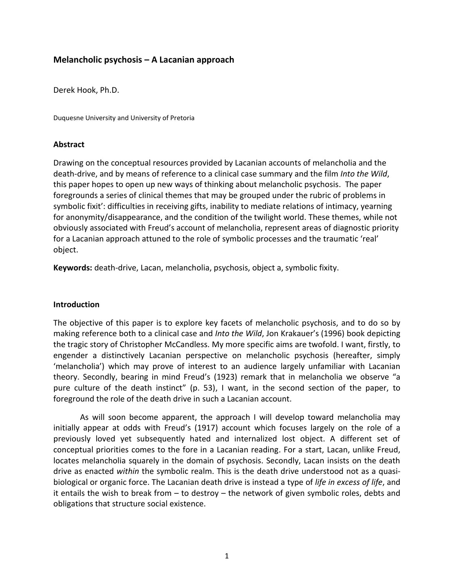# **Melancholic psychosis – A Lacanian approach**

Derek Hook, Ph.D.

Duquesne University and University of Pretoria

### **Abstract**

Drawing on the conceptual resources provided by Lacanian accounts of melancholia and the death-drive, and by means of reference to a clinical case summary and the film *Into the Wild*, this paper hopes to open up new ways of thinking about melancholic psychosis. The paper foregrounds a series of clinical themes that may be grouped under the rubric of problems in symbolic fixit': difficulties in receiving gifts, inability to mediate relations of intimacy, yearning for anonymity/disappearance, and the condition of the twilight world. These themes, while not obviously associated with Freud's account of melancholia, represent areas of diagnostic priority for a Lacanian approach attuned to the role of symbolic processes and the traumatic 'real' object.

**Keywords:** death-drive, Lacan, melancholia, psychosis, object a, symbolic fixity.

#### **Introduction**

The objective of this paper is to explore key facets of melancholic psychosis, and to do so by making reference both to a clinical case and *Into the Wild*, Jon Krakauer's (1996) book depicting the tragic story of Christopher McCandless. My more specific aims are twofold. I want, firstly, to engender a distinctively Lacanian perspective on melancholic psychosis (hereafter, simply 'melancholia') which may prove of interest to an audience largely unfamiliar with Lacanian theory. Secondly, bearing in mind Freud's (1923) remark that in melancholia we observe "a pure culture of the death instinct" (p. 53), I want, in the second section of the paper, to foreground the role of the death drive in such a Lacanian account.

As will soon become apparent, the approach I will develop toward melancholia may initially appear at odds with Freud's (1917) account which focuses largely on the role of a previously loved yet subsequently hated and internalized lost object. A different set of conceptual priorities comes to the fore in a Lacanian reading. For a start, Lacan, unlike Freud, locates melancholia squarely in the domain of psychosis. Secondly, Lacan insists on the death drive as enacted *within* the symbolic realm. This is the death drive understood not as a quasibiological or organic force. The Lacanian death drive is instead a type of *life in excess of life*, and it entails the wish to break from – to destroy – the network of given symbolic roles, debts and obligations that structure social existence.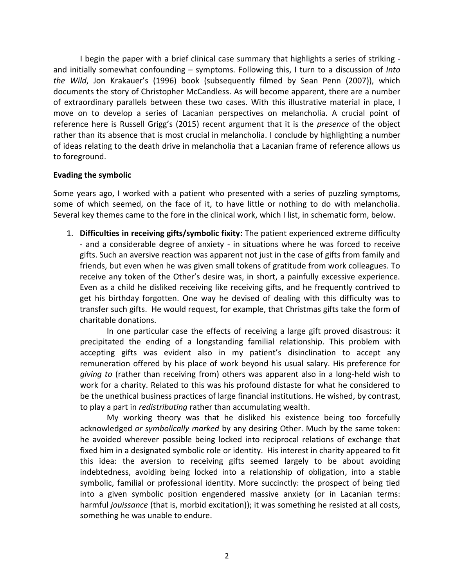I begin the paper with a brief clinical case summary that highlights a series of striking and initially somewhat confounding – symptoms. Following this, I turn to a discussion of *Into the Wild*, Jon Krakauer's (1996) book (subsequently filmed by Sean Penn (2007)), which documents the story of Christopher McCandless. As will become apparent, there are a number of extraordinary parallels between these two cases. With this illustrative material in place, I move on to develop a series of Lacanian perspectives on melancholia. A crucial point of reference here is Russell Grigg's (2015) recent argument that it is the *presence* of the object rather than its absence that is most crucial in melancholia. I conclude by highlighting a number of ideas relating to the death drive in melancholia that a Lacanian frame of reference allows us to foreground.

### **Evading the symbolic**

Some years ago, I worked with a patient who presented with a series of puzzling symptoms, some of which seemed, on the face of it, to have little or nothing to do with melancholia. Several key themes came to the fore in the clinical work, which I list, in schematic form, below.

1. **Difficulties in receiving gifts/symbolic fixity:** The patient experienced extreme difficulty - and a considerable degree of anxiety - in situations where he was forced to receive gifts. Such an aversive reaction was apparent not just in the case of gifts from family and friends, but even when he was given small tokens of gratitude from work colleagues. To receive any token of the Other's desire was, in short, a painfully excessive experience. Even as a child he disliked receiving like receiving gifts, and he frequently contrived to get his birthday forgotten. One way he devised of dealing with this difficulty was to transfer such gifts. He would request, for example, that Christmas gifts take the form of charitable donations.

In one particular case the effects of receiving a large gift proved disastrous: it precipitated the ending of a longstanding familial relationship. This problem with accepting gifts was evident also in my patient's disinclination to accept any remuneration offered by his place of work beyond his usual salary. His preference for *giving to* (rather than receiving from) others was apparent also in a long-held wish to work for a charity. Related to this was his profound distaste for what he considered to be the unethical business practices of large financial institutions. He wished, by contrast, to play a part in *redistributing* rather than accumulating wealth.

My working theory was that he disliked his existence being too forcefully acknowledged *or symbolically marked* by any desiring Other. Much by the same token: he avoided wherever possible being locked into reciprocal relations of exchange that fixed him in a designated symbolic role or identity. His interest in charity appeared to fit this idea: the aversion to receiving gifts seemed largely to be about avoiding indebtedness, avoiding being locked into a relationship of obligation, into a stable symbolic, familial or professional identity. More succinctly: the prospect of being tied into a given symbolic position engendered massive anxiety (or in Lacanian terms: harmful *jouissance* (that is, morbid excitation)); it was something he resisted at all costs, something he was unable to endure.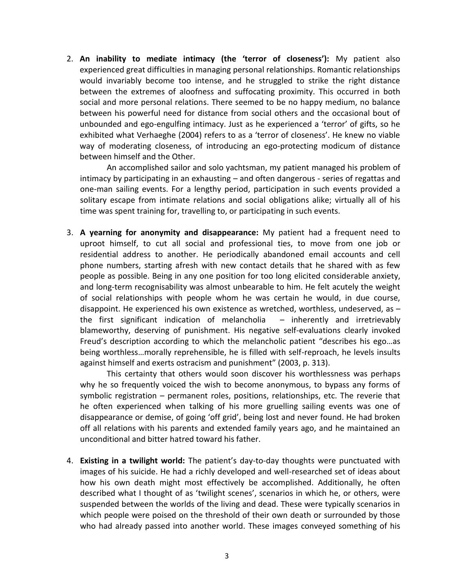2. **An inability to mediate intimacy (the 'terror of closeness'):** My patient also experienced great difficulties in managing personal relationships. Romantic relationships would invariably become too intense, and he struggled to strike the right distance between the extremes of aloofness and suffocating proximity. This occurred in both social and more personal relations. There seemed to be no happy medium, no balance between his powerful need for distance from social others and the occasional bout of unbounded and ego-engulfing intimacy. Just as he experienced a 'terror' of gifts, so he exhibited what Verhaeghe (2004) refers to as a 'terror of closeness'. He knew no viable way of moderating closeness, of introducing an ego-protecting modicum of distance between himself and the Other.

An accomplished sailor and solo yachtsman, my patient managed his problem of intimacy by participating in an exhausting – and often dangerous - series of regattas and one-man sailing events. For a lengthy period, participation in such events provided a solitary escape from intimate relations and social obligations alike; virtually all of his time was spent training for, travelling to, or participating in such events.

3. **A yearning for anonymity and disappearance:** My patient had a frequent need to uproot himself, to cut all social and professional ties, to move from one job or residential address to another. He periodically abandoned email accounts and cell phone numbers, starting afresh with new contact details that he shared with as few people as possible. Being in any one position for too long elicited considerable anxiety, and long-term recognisability was almost unbearable to him. He felt acutely the weight of social relationships with people whom he was certain he would, in due course, disappoint. He experienced his own existence as wretched, worthless, undeserved, as – the first significant indication of melancholia – inherently and irretrievably blameworthy, deserving of punishment. His negative self-evaluations clearly invoked Freud's description according to which the melancholic patient "describes his ego…as being worthless…morally reprehensible, he is filled with self-reproach, he levels insults against himself and exerts ostracism and punishment" (2003, p. 313).

This certainty that others would soon discover his worthlessness was perhaps why he so frequently voiced the wish to become anonymous, to bypass any forms of symbolic registration – permanent roles, positions, relationships, etc. The reverie that he often experienced when talking of his more gruelling sailing events was one of disappearance or demise, of going 'off grid', being lost and never found. He had broken off all relations with his parents and extended family years ago, and he maintained an unconditional and bitter hatred toward his father.

4. **Existing in a twilight world:** The patient's day-to-day thoughts were punctuated with images of his suicide. He had a richly developed and well-researched set of ideas about how his own death might most effectively be accomplished. Additionally, he often described what I thought of as 'twilight scenes', scenarios in which he, or others, were suspended between the worlds of the living and dead. These were typically scenarios in which people were poised on the threshold of their own death or surrounded by those who had already passed into another world. These images conveyed something of his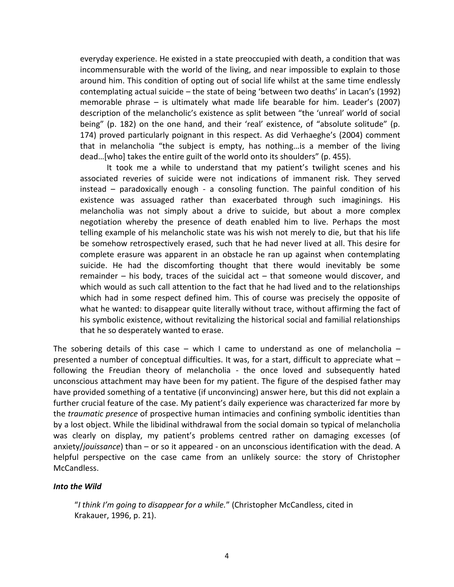everyday experience. He existed in a state preoccupied with death, a condition that was incommensurable with the world of the living, and near impossible to explain to those around him. This condition of opting out of social life whilst at the same time endlessly contemplating actual suicide – the state of being 'between two deaths' in Lacan's (1992) memorable phrase – is ultimately what made life bearable for him. Leader's (2007) description of the melancholic's existence as split between "the 'unreal' world of social being" (p. 182) on the one hand, and their 'real' existence, of "absolute solitude" (p. 174) proved particularly poignant in this respect. As did Verhaeghe's (2004) comment that in melancholia "the subject is empty, has nothing…is a member of the living dead…[who] takes the entire guilt of the world onto its shoulders" (p. 455).

It took me a while to understand that my patient's twilight scenes and his associated reveries of suicide were not indications of immanent risk. They served instead – paradoxically enough - a consoling function. The painful condition of his existence was assuaged rather than exacerbated through such imaginings. His melancholia was not simply about a drive to suicide, but about a more complex negotiation whereby the presence of death enabled him to live. Perhaps the most telling example of his melancholic state was his wish not merely to die, but that his life be somehow retrospectively erased, such that he had never lived at all. This desire for complete erasure was apparent in an obstacle he ran up against when contemplating suicide. He had the discomforting thought that there would inevitably be some remainder – his body, traces of the suicidal act – that someone would discover, and which would as such call attention to the fact that he had lived and to the relationships which had in some respect defined him. This of course was precisely the opposite of what he wanted: to disappear quite literally without trace, without affirming the fact of his symbolic existence, without revitalizing the historical social and familial relationships that he so desperately wanted to erase.

The sobering details of this case – which I came to understand as one of melancholia – presented a number of conceptual difficulties. It was, for a start, difficult to appreciate what – following the Freudian theory of melancholia - the once loved and subsequently hated unconscious attachment may have been for my patient. The figure of the despised father may have provided something of a tentative (if unconvincing) answer here, but this did not explain a further crucial feature of the case. My patient's daily experience was characterized far more by the *traumatic presence* of prospective human intimacies and confining symbolic identities than by a lost object. While the libidinal withdrawal from the social domain so typical of melancholia was clearly on display, my patient's problems centred rather on damaging excesses (of anxiety/*jouissance*) than – or so it appeared - on an unconscious identification with the dead. A helpful perspective on the case came from an unlikely source: the story of Christopher McCandless.

## *Into the Wild*

"*I think I'm going to disappear for a while.*" (Christopher McCandless, cited in Krakauer, 1996, p. 21).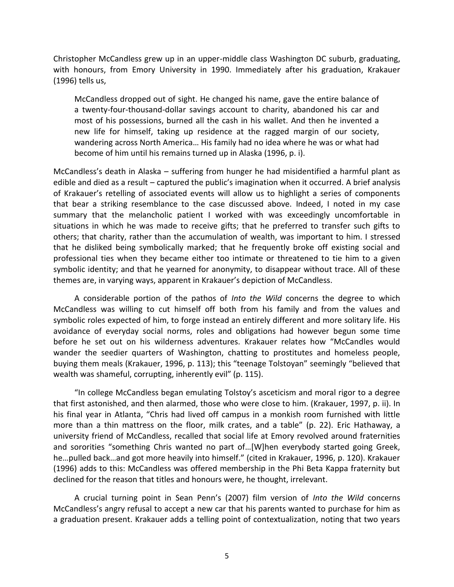Christopher McCandless grew up in an upper-middle class Washington DC suburb, graduating, with honours, from Emory University in 1990. Immediately after his graduation, Krakauer (1996) tells us,

McCandless dropped out of sight. He changed his name, gave the entire balance of a twenty-four-thousand-dollar savings account to charity, abandoned his car and most of his possessions, burned all the cash in his wallet. And then he invented a new life for himself, taking up residence at the ragged margin of our society, wandering across North America… His family had no idea where he was or what had become of him until his remains turned up in Alaska (1996, p. i).

McCandless's death in Alaska – suffering from hunger he had misidentified a harmful plant as edible and died as a result – captured the public's imagination when it occurred. A brief analysis of Krakauer's retelling of associated events will allow us to highlight a series of components that bear a striking resemblance to the case discussed above. Indeed, I noted in my case summary that the melancholic patient I worked with was exceedingly uncomfortable in situations in which he was made to receive gifts; that he preferred to transfer such gifts to others; that charity, rather than the accumulation of wealth, was important to him. I stressed that he disliked being symbolically marked; that he frequently broke off existing social and professional ties when they became either too intimate or threatened to tie him to a given symbolic identity; and that he yearned for anonymity, to disappear without trace. All of these themes are, in varying ways, apparent in Krakauer's depiction of McCandless.

A considerable portion of the pathos of *Into the Wild* concerns the degree to which McCandless was willing to cut himself off both from his family and from the values and symbolic roles expected of him, to forge instead an entirely different and more solitary life. His avoidance of everyday social norms, roles and obligations had however begun some time before he set out on his wilderness adventures. Krakauer relates how "McCandles would wander the seedier quarters of Washington, chatting to prostitutes and homeless people, buying them meals (Krakauer, 1996, p. 113); this "teenage Tolstoyan" seemingly "believed that wealth was shameful, corrupting, inherently evil" (p. 115).

"In college McCandless began emulating Tolstoy's asceticism and moral rigor to a degree that first astonished, and then alarmed, those who were close to him. (Krakauer, 1997, p. ii). In his final year in Atlanta, "Chris had lived off campus in a monkish room furnished with little more than a thin mattress on the floor, milk crates, and a table" (p. 22). Eric Hathaway, a university friend of McCandless, recalled that social life at Emory revolved around fraternities and sororities "something Chris wanted no part of…[W]hen everybody started going Greek, he…pulled back…and got more heavily into himself." (cited in Krakauer, 1996, p. 120). Krakauer (1996) adds to this: McCandless was offered membership in the Phi Beta Kappa fraternity but declined for the reason that titles and honours were, he thought, irrelevant.

A crucial turning point in Sean Penn's (2007) film version of *Into the Wild* concerns McCandless's angry refusal to accept a new car that his parents wanted to purchase for him as a graduation present. Krakauer adds a telling point of contextualization, noting that two years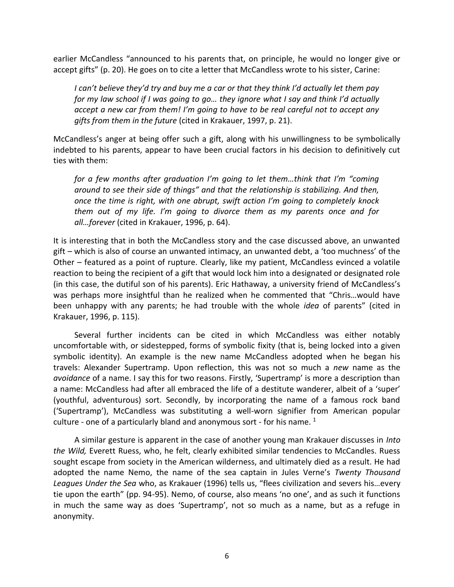earlier McCandless "announced to his parents that, on principle, he would no longer give or accept gifts" (p. 20). He goes on to cite a letter that McCandless wrote to his sister, Carine:

*I can't believe they'd try and buy me a car or that they think I'd actually let them pay for my law school if I was going to go… they ignore what I say and think I'd actually accept a new car from them! I'm going to have to be real careful not to accept any gifts from them in the future* (cited in Krakauer, 1997, p. 21).

McCandless's anger at being offer such a gift, along with his unwillingness to be symbolically indebted to his parents, appear to have been crucial factors in his decision to definitively cut ties with them:

*for a few months after graduation I'm going to let them…think that I'm "coming around to see their side of things" and that the relationship is stabilizing. And then, once the time is right, with one abrupt, swift action I'm going to completely knock them out of my life. I'm going to divorce them as my parents once and for all…forever* (cited in Krakauer, 1996, p. 64).

It is interesting that in both the McCandless story and the case discussed above, an unwanted gift – which is also of course an unwanted intimacy, an unwanted debt, a 'too muchness' of the Other – featured as a point of rupture. Clearly, like my patient, McCandless evinced a volatile reaction to being the recipient of a gift that would lock him into a designated or designated role (in this case, the dutiful son of his parents). Eric Hathaway, a university friend of McCandless's was perhaps more insightful than he realized when he commented that "Chris…would have been unhappy with any parents; he had trouble with the whole *idea* of parents" (cited in Krakauer, 1996, p. 115).

Several further incidents can be cited in which McCandless was either notably uncomfortable with, or sidestepped, forms of symbolic fixity (that is, being locked into a given symbolic identity). An example is the new name McCandless adopted when he began his travels: Alexander Supertramp. Upon reflection, this was not so much a *new* name as the *avoidance* of a name. I say this for two reasons. Firstly, 'Supertramp' is more a description than a name: McCandless had after all embraced the life of a destitute wanderer, albeit of a 'super' (youthful, adventurous) sort. Secondly, by incorporating the name of a famous rock band ('Supertramp'), McCandless was substituting a well-worn signifier from American popular culture - one of a particularly bland and anonymous sort - for his name.  $1$ 

A similar gesture is apparent in the case of another young man Krakauer discusses in *Into the Wild,* Everett Ruess, who, he felt, clearly exhibited similar tendencies to McCandles. Ruess sought escape from society in the American wilderness, and ultimately died as a result. He had adopted the name Nemo, the name of the sea captain in Jules Verne's *Twenty Thousand Leagues Under the Sea* who, as Krakauer (1996) tells us, "flees civilization and severs his…every tie upon the earth" (pp. 94-95). Nemo, of course, also means 'no one', and as such it functions in much the same way as does 'Supertramp', not so much as a name, but as a refuge in anonymity.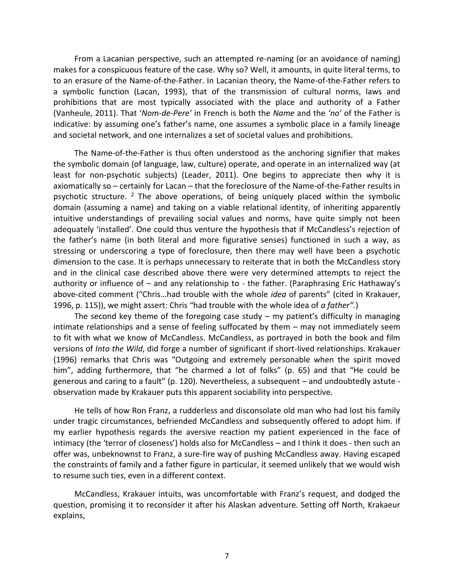From a Lacanian perspective, such an attempted re-naming (or an avoidance of naming) makes for a conspicuous feature of the case. Why so? Well, it amounts, in quite literal terms, to to an erasure of the Name-of-the-Father. In Lacanian theory, the Name-of-the-Father refers to a symbolic function (Lacan, 1993), that of the transmission of cultural norms, laws and prohibitions that are most typically associated with the place and authority of a Father (Vanheule, 2011). That '*Nom-de-Pere'* in French is both the *Name* and the *'no'* of the Father is indicative: by assuming one's father's name, one assumes a symbolic place in a family lineage and societal network, and one internalizes a set of societal values and prohibitions.

The Name-of-the-Father is thus often understood as the anchoring signifier that makes the symbolic domain (of language, law, culture) operate, and operate in an internalized way (at least for non-psychotic subjects) (Leader, 2011). One begins to appreciate then why it is axiomatically so – certainly for Lacan – that the foreclosure of the Name-of-the-Father results in psychotic structure. <sup>2</sup> The above operations, of being uniquely placed within the symbolic domain (assuming a name) and taking on a viable relational identity, of inheriting apparently intuitive understandings of prevailing social values and norms, have quite simply not been adequately 'installed'. One could thus venture the hypothesis that if McCandless's rejection of the father's name (in both literal and more figurative senses) functioned in such a way, as stressing or underscoring a type of foreclosure, then there may well have been a psychotic dimension to the case. It is perhaps unnecessary to reiterate that in both the McCandless story and in the clinical case described above there were very determined attempts to reject the authority or influence of – and any relationship to - the father. (Paraphrasing Eric Hathaway's above-cited comment ("Chris…had trouble with the whole *idea* of parents" (cited in Krakauer, 1996, p. 115)), we might assert: Chris "had trouble with the whole idea of *a father".*)

The second key theme of the foregoing case study  $-$  my patient's difficulty in managing intimate relationships and a sense of feeling suffocated by them – may not immediately seem to fit with what we know of McCandless. McCandless, as portrayed in both the book and film versions of *Into the Wild*, did forge a number of significant if short-lived relationships. Krakauer (1996) remarks that Chris was "Outgoing and extremely personable when the spirit moved him", adding furthermore, that "he charmed a lot of folks" (p. 65) and that "He could be generous and caring to a fault" (p. 120). Nevertheless, a subsequent – and undoubtedly astute observation made by Krakauer puts this apparent sociability into perspective.

He tells of how Ron Franz, a rudderless and disconsolate old man who had lost his family under tragic circumstances, befriended McCandless and subsequently offered to adopt him. If my earlier hypothesis regards the aversive reaction my patient experienced in the face of intimacy (the 'terror of closeness') holds also for McCandless – and I think it does - then such an offer was, unbeknownst to Franz, a sure-fire way of pushing McCandless away. Having escaped the constraints of family and a father figure in particular, it seemed unlikely that we would wish to resume such ties, even in a different context.

McCandless, Krakauer intuits, was uncomfortable with Franz's request, and dodged the question, promising it to reconsider it after his Alaskan adventure. Setting off North, Krakaeur explains,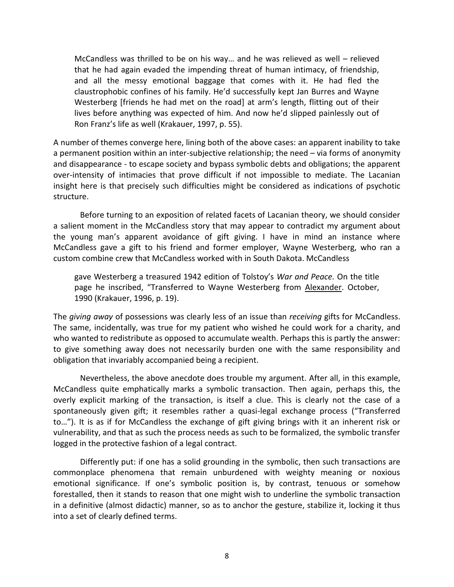McCandless was thrilled to be on his way… and he was relieved as well – relieved that he had again evaded the impending threat of human intimacy, of friendship, and all the messy emotional baggage that comes with it. He had fled the claustrophobic confines of his family. He'd successfully kept Jan Burres and Wayne Westerberg [friends he had met on the road] at arm's length, flitting out of their lives before anything was expected of him. And now he'd slipped painlessly out of Ron Franz's life as well (Krakauer, 1997, p. 55).

A number of themes converge here, lining both of the above cases: an apparent inability to take a permanent position within an inter-subjective relationship; the need – via forms of anonymity and disappearance - to escape society and bypass symbolic debts and obligations; the apparent over-intensity of intimacies that prove difficult if not impossible to mediate. The Lacanian insight here is that precisely such difficulties might be considered as indications of psychotic structure.

Before turning to an exposition of related facets of Lacanian theory, we should consider a salient moment in the McCandless story that may appear to contradict my argument about the young man's apparent avoidance of gift giving. I have in mind an instance where McCandless gave a gift to his friend and former employer, Wayne Westerberg, who ran a custom combine crew that McCandless worked with in South Dakota. McCandless

gave Westerberg a treasured 1942 edition of Tolstoy's *War and Peace.* On the title page he inscribed, "Transferred to Wayne Westerberg from Alexander. October, 1990 (Krakauer, 1996, p. 19).

The *giving away* of possessions was clearly less of an issue than *receiving* gifts for McCandless. The same, incidentally, was true for my patient who wished he could work for a charity, and who wanted to redistribute as opposed to accumulate wealth. Perhaps this is partly the answer: to give something away does not necessarily burden one with the same responsibility and obligation that invariably accompanied being a recipient.

Nevertheless, the above anecdote does trouble my argument. After all, in this example, McCandless quite emphatically marks a symbolic transaction. Then again, perhaps this, the overly explicit marking of the transaction, is itself a clue. This is clearly not the case of a spontaneously given gift; it resembles rather a quasi-legal exchange process ("Transferred to…"). It is as if for McCandless the exchange of gift giving brings with it an inherent risk or vulnerability, and that as such the process needs as such to be formalized, the symbolic transfer logged in the protective fashion of a legal contract.

Differently put: if one has a solid grounding in the symbolic, then such transactions are commonplace phenomena that remain unburdened with weighty meaning or noxious emotional significance. If one's symbolic position is, by contrast, tenuous or somehow forestalled, then it stands to reason that one might wish to underline the symbolic transaction in a definitive (almost didactic) manner, so as to anchor the gesture, stabilize it, locking it thus into a set of clearly defined terms.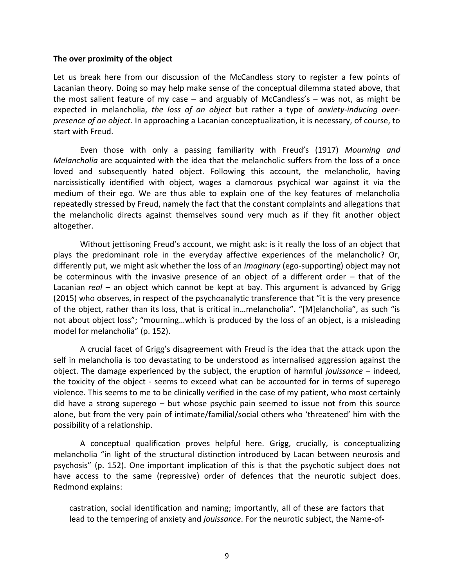#### **The over proximity of the object**

Let us break here from our discussion of the McCandless story to register a few points of Lacanian theory. Doing so may help make sense of the conceptual dilemma stated above, that the most salient feature of my case – and arguably of McCandless's – was not, as might be expected in melancholia, *the loss of an object* but rather a type of *anxiety-inducing overpresence of an object*. In approaching a Lacanian conceptualization, it is necessary, of course, to start with Freud.

Even those with only a passing familiarity with Freud's (1917) *Mourning and Melancholia* are acquainted with the idea that the melancholic suffers from the loss of a once loved and subsequently hated object. Following this account, the melancholic, having narcissistically identified with object, wages a clamorous psychical war against it via the medium of their ego. We are thus able to explain one of the key features of melancholia repeatedly stressed by Freud, namely the fact that the constant complaints and allegations that the melancholic directs against themselves sound very much as if they fit another object altogether.

Without jettisoning Freud's account, we might ask: is it really the loss of an object that plays the predominant role in the everyday affective experiences of the melancholic? Or, differently put, we might ask whether the loss of an *imaginary* (ego-supporting) object may not be coterminous with the invasive presence of an object of a different order – that of the Lacanian *real* – an object which cannot be kept at bay. This argument is advanced by Grigg (2015) who observes, in respect of the psychoanalytic transference that "it is the very presence of the object, rather than its loss, that is critical in…melancholia". "[M]elancholia", as such "is not about object loss"; "mourning…which is produced by the loss of an object, is a misleading model for melancholia" (p. 152).

A crucial facet of Grigg's disagreement with Freud is the idea that the attack upon the self in melancholia is too devastating to be understood as internalised aggression against the object. The damage experienced by the subject, the eruption of harmful *jouissance* – indeed, the toxicity of the object - seems to exceed what can be accounted for in terms of superego violence. This seems to me to be clinically verified in the case of my patient, who most certainly did have a strong superego – but whose psychic pain seemed to issue not from this source alone, but from the very pain of intimate/familial/social others who 'threatened' him with the possibility of a relationship.

A conceptual qualification proves helpful here. Grigg, crucially, is conceptualizing melancholia "in light of the structural distinction introduced by Lacan between neurosis and psychosis" (p. 152). One important implication of this is that the psychotic subject does not have access to the same (repressive) order of defences that the neurotic subject does. Redmond explains:

castration, social identification and naming; importantly, all of these are factors that lead to the tempering of anxiety and *jouissance*. For the neurotic subject, the Name-of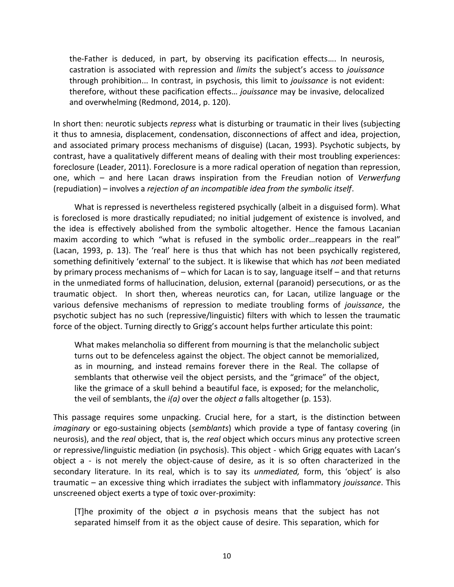the-Father is deduced, in part, by observing its pacification effects…. In neurosis, castration is associated with repression and *limits* the subject's access to *jouissance* through prohibition... In contrast, in psychosis, this limit to *jouissance* is not evident: therefore, without these pacification effects… *jouissance* may be invasive, delocalized and overwhelming (Redmond, 2014, p. 120).

In short then: neurotic subjects *repress* what is disturbing or traumatic in their lives (subjecting it thus to amnesia, displacement, condensation, disconnections of affect and idea, projection, and associated primary process mechanisms of disguise) (Lacan, 1993). Psychotic subjects, by contrast, have a qualitatively different means of dealing with their most troubling experiences: foreclosure (Leader, 2011). Foreclosure is a more radical operation of negation than repression, one, which – and here Lacan draws inspiration from the Freudian notion of *Verwerfung* (repudiation) – involves a *rejection of an incompatible idea from the symbolic itself*.

What is repressed is nevertheless registered psychically (albeit in a disguised form). What is foreclosed is more drastically repudiated; no initial judgement of existence is involved, and the idea is effectively abolished from the symbolic altogether. Hence the famous Lacanian maxim according to which "what is refused in the symbolic order…reappears in the real" (Lacan, 1993, p. 13). The 'real' here is thus that which has not been psychically registered, something definitively 'external' to the subject. It is likewise that which has *not* been mediated by primary process mechanisms of – which for Lacan is to say, language itself – and that returns in the unmediated forms of hallucination, delusion, external (paranoid) persecutions, or as the traumatic object. In short then, whereas neurotics can, for Lacan, utilize language or the various defensive mechanisms of repression to mediate troubling forms of *jouissance*, the psychotic subject has no such (repressive/linguistic) filters with which to lessen the traumatic force of the object. Turning directly to Grigg's account helps further articulate this point:

What makes melancholia so different from mourning is that the melancholic subject turns out to be defenceless against the object. The object cannot be memorialized, as in mourning, and instead remains forever there in the Real. The collapse of semblants that otherwise veil the object persists, and the "grimace" of the object, like the grimace of a skull behind a beautiful face, is exposed; for the melancholic, the veil of semblants, the *i(a)* over the *object a* falls altogether (p. 153).

This passage requires some unpacking. Crucial here, for a start, is the distinction between *imaginary* or ego-sustaining objects (*semblants*) which provide a type of fantasy covering (in neurosis), and the *real* object, that is, the *real* object which occurs minus any protective screen or repressive/linguistic mediation (in psychosis). This object - which Grigg equates with Lacan's object a - is not merely the object-cause of desire, as it is so often characterized in the secondary literature. In its real, which is to say its *unmediated,* form, this 'object' is also traumatic – an excessive thing which irradiates the subject with inflammatory *jouissance*. This unscreened object exerts a type of toxic over-proximity:

[T]he proximity of the object *a* in psychosis means that the subject has not separated himself from it as the object cause of desire. This separation, which for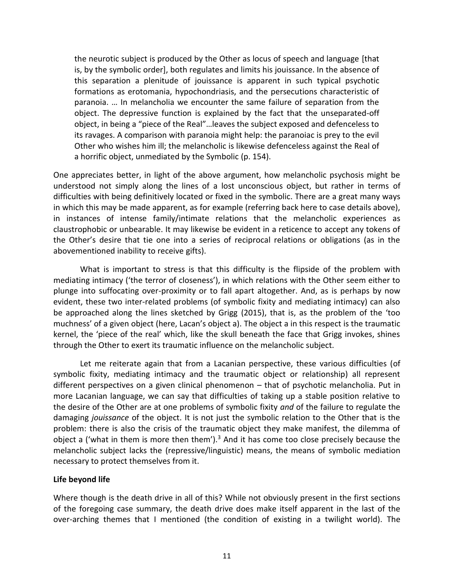the neurotic subject is produced by the Other as locus of speech and language [that is, by the symbolic order], both regulates and limits his jouissance. In the absence of this separation a plenitude of jouissance is apparent in such typical psychotic formations as erotomania, hypochondriasis, and the persecutions characteristic of paranoia. … In melancholia we encounter the same failure of separation from the object. The depressive function is explained by the fact that the unseparated-off object, in being a "piece of the Real"…leaves the subject exposed and defenceless to its ravages. A comparison with paranoia might help: the paranoiac is prey to the evil Other who wishes him ill; the melancholic is likewise defenceless against the Real of a horrific object, unmediated by the Symbolic (p. 154).

One appreciates better, in light of the above argument, how melancholic psychosis might be understood not simply along the lines of a lost unconscious object, but rather in terms of difficulties with being definitively located or fixed in the symbolic. There are a great many ways in which this may be made apparent, as for example (referring back here to case details above), in instances of intense family/intimate relations that the melancholic experiences as claustrophobic or unbearable. It may likewise be evident in a reticence to accept any tokens of the Other's desire that tie one into a series of reciprocal relations or obligations (as in the abovementioned inability to receive gifts).

What is important to stress is that this difficulty is the flipside of the problem with mediating intimacy ('the terror of closeness'), in which relations with the Other seem either to plunge into suffocating over-proximity or to fall apart altogether. And, as is perhaps by now evident, these two inter-related problems (of symbolic fixity and mediating intimacy) can also be approached along the lines sketched by Grigg (2015), that is, as the problem of the 'too muchness' of a given object (here, Lacan's object a). The object a in this respect is the traumatic kernel, the 'piece of the real' which, like the skull beneath the face that Grigg invokes, shines through the Other to exert its traumatic influence on the melancholic subject.

Let me reiterate again that from a Lacanian perspective, these various difficulties (of symbolic fixity, mediating intimacy and the traumatic object or relationship) all represent different perspectives on a given clinical phenomenon – that of psychotic melancholia. Put in more Lacanian language, we can say that difficulties of taking up a stable position relative to the desire of the Other are at one problems of symbolic fixity *and* of the failure to regulate the damaging *jouissance* of the object. It is not just the symbolic relation to the Other that is the problem: there is also the crisis of the traumatic object they make manifest, the dilemma of object a ('what in them is more then them').<sup>3</sup> And it has come too close precisely because the melancholic subject lacks the (repressive/linguistic) means, the means of symbolic mediation necessary to protect themselves from it.

## **Life beyond life**

Where though is the death drive in all of this? While not obviously present in the first sections of the foregoing case summary, the death drive does make itself apparent in the last of the over-arching themes that I mentioned (the condition of existing in a twilight world). The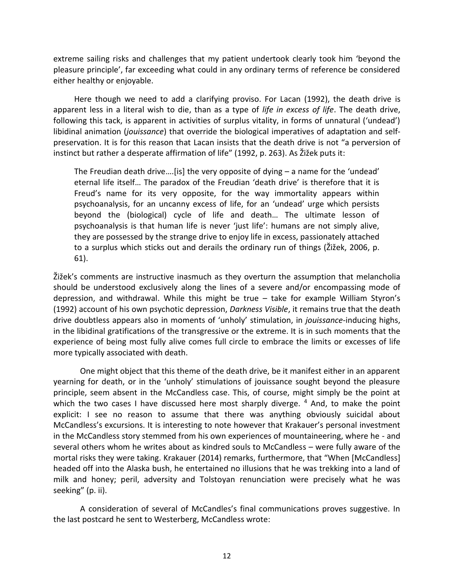extreme sailing risks and challenges that my patient undertook clearly took him 'beyond the pleasure principle', far exceeding what could in any ordinary terms of reference be considered either healthy or enjoyable.

Here though we need to add a clarifying proviso. For Lacan (1992), the death drive is apparent less in a literal wish to die, than as a type of *life in excess of life*. The death drive, following this tack, is apparent in activities of surplus vitality, in forms of unnatural ('undead') libidinal animation (*jouissance*) that override the biological imperatives of adaptation and selfpreservation. It is for this reason that Lacan insists that the death drive is not "a perversion of instinct but rather a desperate affirmation of life" (1992, p. 263). As Žižek puts it:

The Freudian death drive....[is] the very opposite of dying  $-$  a name for the 'undead' eternal life itself… The paradox of the Freudian 'death drive' is therefore that it is Freud's name for its very opposite, for the way immortality appears within psychoanalysis, for an uncanny excess of life, for an 'undead' urge which persists beyond the (biological) cycle of life and death… The ultimate lesson of psychoanalysis is that human life is never 'just life': humans are not simply alive, they are possessed by the strange drive to enjoy life in excess, passionately attached to a surplus which sticks out and derails the ordinary run of things (Žižek, 2006, p. 61).

Žižek's comments are instructive inasmuch as they overturn the assumption that melancholia should be understood exclusively along the lines of a severe and/or encompassing mode of depression, and withdrawal. While this might be true – take for example William Styron's (1992) account of his own psychotic depression, *Darkness Visible*, it remains true that the death drive doubtless appears also in moments of 'unholy' stimulation, in *jouissance*-inducing highs, in the libidinal gratifications of the transgressive or the extreme. It is in such moments that the experience of being most fully alive comes full circle to embrace the limits or excesses of life more typically associated with death.

One might object that this theme of the death drive, be it manifest either in an apparent yearning for death, or in the 'unholy' stimulations of jouissance sought beyond the pleasure principle, seem absent in the McCandless case. This, of course, might simply be the point at which the two cases I have discussed here most sharply diverge.  $4$  And, to make the point explicit: I see no reason to assume that there was anything obviously suicidal about McCandless's excursions. It is interesting to note however that Krakauer's personal investment in the McCandless story stemmed from his own experiences of mountaineering, where he - and several others whom he writes about as kindred souls to McCandless – were fully aware of the mortal risks they were taking. Krakauer (2014) remarks, furthermore, that "When [McCandless] headed off into the Alaska bush, he entertained no illusions that he was trekking into a land of milk and honey; peril, adversity and Tolstoyan renunciation were precisely what he was seeking" (p. ii).

A consideration of several of McCandles's final communications proves suggestive. In the last postcard he sent to Westerberg, McCandless wrote: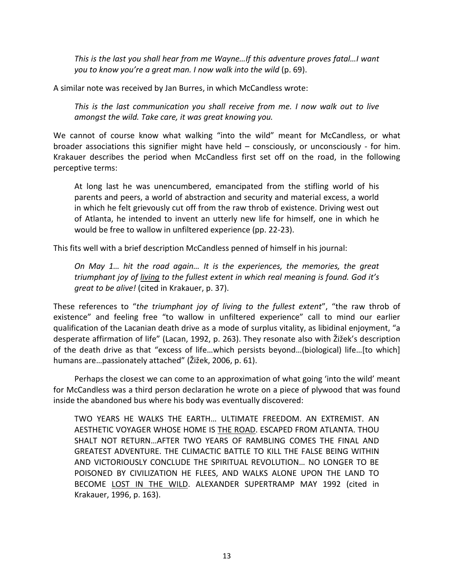*This is the last you shall hear from me Wayne…If this adventure proves fatal…I want you to know you're a great man. I now walk into the wild* (p. 69).

A similar note was received by Jan Burres, in which McCandless wrote:

*This is the last communication you shall receive from me. I now walk out to live amongst the wild. Take care, it was great knowing you.*

We cannot of course know what walking "into the wild" meant for McCandless, or what broader associations this signifier might have held – consciously, or unconsciously - for him. Krakauer describes the period when McCandless first set off on the road, in the following perceptive terms:

At long last he was unencumbered, emancipated from the stifling world of his parents and peers, a world of abstraction and security and material excess, a world in which he felt grievously cut off from the raw throb of existence. Driving west out of Atlanta, he intended to invent an utterly new life for himself, one in which he would be free to wallow in unfiltered experience (pp. 22-23).

This fits well with a brief description McCandless penned of himself in his journal:

*On May 1… hit the road again… It is the experiences, the memories, the great triumphant joy of living to the fullest extent in which real meaning is found. God it's great to be alive!* (cited in Krakauer, p. 37).

These references to "*the triumphant joy of living to the fullest extent*", "the raw throb of existence" and feeling free "to wallow in unfiltered experience" call to mind our earlier qualification of the Lacanian death drive as a mode of surplus vitality, as libidinal enjoyment, "a desperate affirmation of life" (Lacan, 1992, p. 263). They resonate also with Žižek's description of the death drive as that "excess of life…which persists beyond…(biological) life…[to which] humans are…passionately attached" (Žižek, 2006, p. 61).

Perhaps the closest we can come to an approximation of what going 'into the wild' meant for McCandless was a third person declaration he wrote on a piece of plywood that was found inside the abandoned bus where his body was eventually discovered:

TWO YEARS HE WALKS THE EARTH… ULTIMATE FREEDOM. AN EXTREMIST. AN AESTHETIC VOYAGER WHOSE HOME IS THE ROAD. ESCAPED FROM ATLANTA. THOU SHALT NOT RETURN…AFTER TWO YEARS OF RAMBLING COMES THE FINAL AND GREATEST ADVENTURE. THE CLIMACTIC BATTLE TO KILL THE FALSE BEING WITHIN AND VICTORIOUSLY CONCLUDE THE SPIRITUAL REVOLUTION… NO LONGER TO BE POISONED BY CIVILIZATION HE FLEES, AND WALKS ALONE UPON THE LAND TO BECOME LOST IN THE WILD. ALEXANDER SUPERTRAMP MAY 1992 (cited in Krakauer, 1996, p. 163).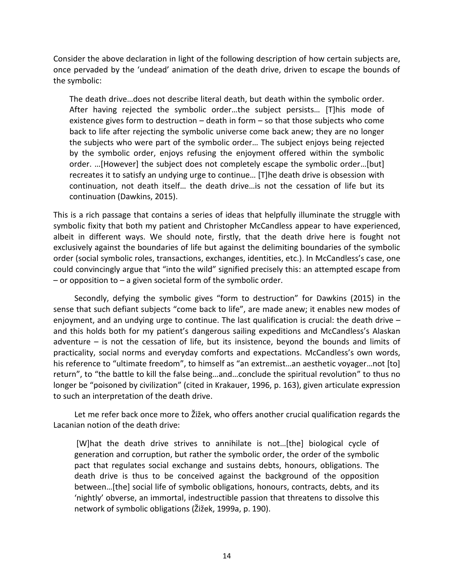Consider the above declaration in light of the following description of how certain subjects are, once pervaded by the 'undead' animation of the death drive, driven to escape the bounds of the symbolic:

The death drive…does not describe literal death, but death within the symbolic order. After having rejected the symbolic order…the subject persists… [T]his mode of existence gives form to destruction – death in form – so that those subjects who come back to life after rejecting the symbolic universe come back anew; they are no longer the subjects who were part of the symbolic order… The subject enjoys being rejected by the symbolic order, enjoys refusing the enjoyment offered within the symbolic order. …[However] the subject does not completely escape the symbolic order…[but] recreates it to satisfy an undying urge to continue… [T]he death drive is obsession with continuation, not death itself… the death drive…is not the cessation of life but its continuation (Dawkins, 2015).

This is a rich passage that contains a series of ideas that helpfully illuminate the struggle with symbolic fixity that both my patient and Christopher McCandless appear to have experienced, albeit in different ways. We should note, firstly, that the death drive here is fought not exclusively against the boundaries of life but against the delimiting boundaries of the symbolic order (social symbolic roles, transactions, exchanges, identities, etc.). In McCandless's case, one could convincingly argue that "into the wild" signified precisely this: an attempted escape from – or opposition to – a given societal form of the symbolic order.

Secondly, defying the symbolic gives "form to destruction" for Dawkins (2015) in the sense that such defiant subjects "come back to life", are made anew; it enables new modes of enjoyment, and an undying urge to continue. The last qualification is crucial: the death drive – and this holds both for my patient's dangerous sailing expeditions and McCandless's Alaskan adventure – is not the cessation of life, but its insistence, beyond the bounds and limits of practicality, social norms and everyday comforts and expectations. McCandless's own words, his reference to "ultimate freedom", to himself as "an extremist...an aesthetic voyager...not [to] return", to "the battle to kill the false being…and…conclude the spiritual revolution" to thus no longer be "poisoned by civilization" (cited in Krakauer, 1996, p. 163), given articulate expression to such an interpretation of the death drive.

Let me refer back once more to Žižek, who offers another crucial qualification regards the Lacanian notion of the death drive:

[W]hat the death drive strives to annihilate is not…[the] biological cycle of generation and corruption, but rather the symbolic order, the order of the symbolic pact that regulates social exchange and sustains debts, honours, obligations. The death drive is thus to be conceived against the background of the opposition between…[the] social life of symbolic obligations, honours, contracts, debts, and its 'nightly' obverse, an immortal, indestructible passion that threatens to dissolve this network of symbolic obligations (Žižek, 1999a, p. 190).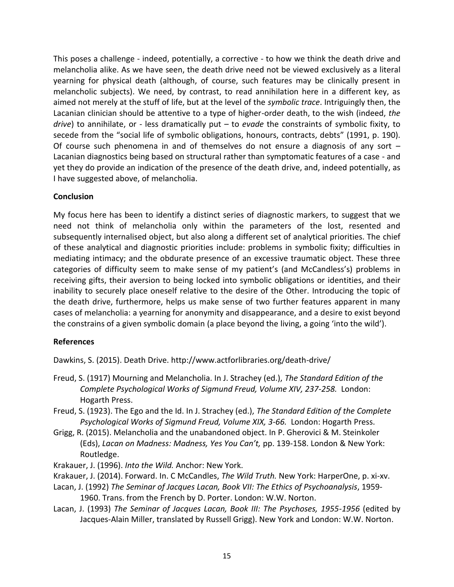This poses a challenge - indeed, potentially, a corrective - to how we think the death drive and melancholia alike. As we have seen, the death drive need not be viewed exclusively as a literal yearning for physical death (although, of course, such features may be clinically present in melancholic subjects). We need, by contrast, to read annihilation here in a different key, as aimed not merely at the stuff of life, but at the level of the *symbolic trace*. Intriguingly then, the Lacanian clinician should be attentive to a type of higher-order death, to the wish (indeed, *the drive*) to annihilate, or - less dramatically put – to *evade* the constraints of symbolic fixity, to secede from the "social life of symbolic obligations, honours, contracts, debts" (1991, p. 190). Of course such phenomena in and of themselves do not ensure a diagnosis of any sort – Lacanian diagnostics being based on structural rather than symptomatic features of a case - and yet they do provide an indication of the presence of the death drive, and, indeed potentially, as I have suggested above, of melancholia.

## **Conclusion**

My focus here has been to identify a distinct series of diagnostic markers, to suggest that we need not think of melancholia only within the parameters of the lost, resented and subsequently internalised object, but also along a different set of analytical priorities. The chief of these analytical and diagnostic priorities include: problems in symbolic fixity; difficulties in mediating intimacy; and the obdurate presence of an excessive traumatic object. These three categories of difficulty seem to make sense of my patient's (and McCandless's) problems in receiving gifts, their aversion to being locked into symbolic obligations or identities, and their inability to securely place oneself relative to the desire of the Other. Introducing the topic of the death drive, furthermore, helps us make sense of two further features apparent in many cases of melancholia: a yearning for anonymity and disappearance, and a desire to exist beyond the constrains of a given symbolic domain (a place beyond the living, a going 'into the wild').

# **References**

Dawkins, S. (2015). Death Drive. http://www.actforlibraries.org/death-drive/

- Freud, S. (1917) Mourning and Melancholia. In J. Strachey (ed.), *The Standard Edition of the Complete Psychological Works of Sigmund Freud, Volume XIV, 237-258.* London: Hogarth Press.
- Freud, S. (1923). The Ego and the Id. In J. Strachey (ed.), *The Standard Edition of the Complete Psychological Works of Sigmund Freud, Volume XIX, 3-66.* London: Hogarth Press.
- Grigg, R. (2015). Melancholia and the unabandoned object. In P. Gherovici & M. Steinkoler (Eds), *Lacan on Madness: Madness, Yes You Can't,* pp. 139-158. London & New York: Routledge.
- Krakauer, J. (1996). *Into the Wild.* Anchor: New York.
- Krakauer, J. (2014). Forward. In. C McCandles, *The Wild Truth.* New York: HarperOne, p. xi-xv.
- Lacan, J. (1992) *The Seminar of Jacques Lacan, Book VII: The Ethics of Psychoanalysis*, 1959- 1960. Trans. from the French by D. Porter. London: W.W. Norton.
- Lacan, J. (1993) *The Seminar of Jacques Lacan, Book III: The Psychoses, 1955-1956* (edited by Jacques-Alain Miller, translated by Russell Grigg). New York and London: W.W. Norton.